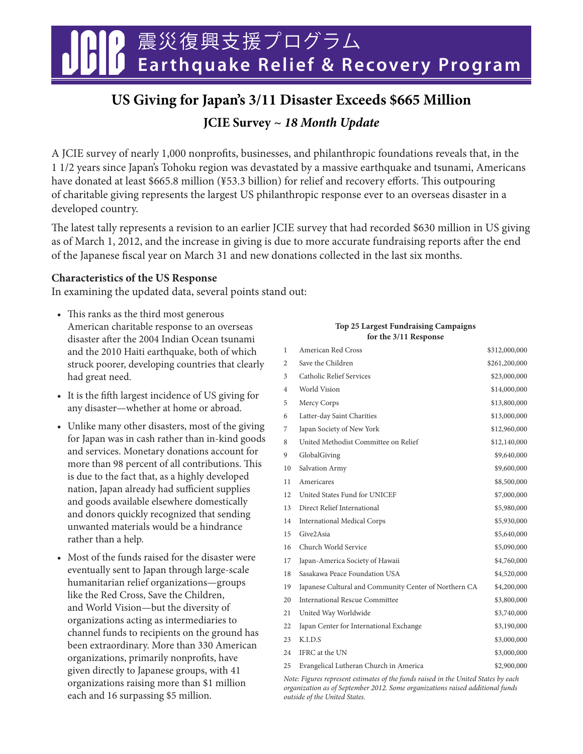震災復興支援プログラム **Earthquake Relief & Recovery Program**

# **US Giving for Japan's 3/11 Disaster Exceeds \$665 Million**

**JCIE Survey ~ 18 Month Update**

A JCIE survey of nearly 1,000 nonprofits, businesses, and philanthropic foundations reveals that, in the 1 1/2 years since Japan's Tohoku region was devastated by a massive earthquake and tsunami, Americans have donated at least \$665.8 million (¥53.3 billion) for relief and recovery efforts. This outpouring of charitable giving represents the largest US philanthropic response ever to an overseas disaster in a developed country.

The latest tally represents a revision to an earlier JCIE survey that had recorded \$630 million in US giving as of March 1, 2012, and the increase in giving is due to more accurate fundraising reports after the end of the Japanese fiscal year on March 31 and new donations collected in the last six months.

## **Characteristics of the US Response**

In examining the updated data, several points stand out:

- This ranks as the third most generous American charitable response to an overseas disaster after the 2004 Indian Ocean tsunami and the 2010 Haiti earthquake, both of which struck poorer, developing countries that clearly had great need.
- It is the fifth largest incidence of US giving for any disaster—whether at home or abroad.
- Unlike many other disasters, most of the giving for Japan was in cash rather than in-kind goods and services. Monetary donations account for more than 98 percent of all contributions. This is due to the fact that, as a highly developed nation, Japan already had sufficient supplies and goods available elsewhere domestically and donors quickly recognized that sending unwanted materials would be a hindrance rather than a help.
- Most of the funds raised for the disaster were eventually sent to Japan through large-scale humanitarian relief organizations—groups like the Red Cross, Save the Children, and World Vision—but the diversity of organizations acting as intermediaries to channel funds to recipients on the ground has been extraordinary. More than 330 American organizations, primarily nonprofits, have given directly to Japanese groups, with 41 organizations raising more than \$1 million each and 16 surpassing \$5 million.

#### **Top 25 Largest Fundraising Campaigns for the 3/11 Response**

| 1                 | American Red Cross                                    | \$312,000,000 |
|-------------------|-------------------------------------------------------|---------------|
| 2                 | Save the Children                                     | \$261,200,000 |
| 3                 | Catholic Relief Services                              | \$23,000,000  |
| 4                 | World Vision                                          | \$14,000,000  |
| 5                 | Mercy Corps                                           | \$13,800,000  |
| 6                 | Latter-day Saint Charities                            | \$13,000,000  |
| 7                 | Japan Society of New York                             | \$12,960,000  |
| 8                 | United Methodist Committee on Relief                  | \$12,140,000  |
| 9                 | GlobalGiving                                          | \$9,640,000   |
| 10                | Salvation Army                                        | \$9,600,000   |
| 11                | Americares                                            | \$8,500,000   |
| $12 \overline{ }$ | United States Fund for UNICEF                         | \$7,000,000   |
| 13                | Direct Relief International                           | \$5,980,000   |
| 14                | <b>International Medical Corps</b>                    | \$5,930,000   |
| 15                | Give2Asia                                             | \$5,640,000   |
| 16                | Church World Service                                  | \$5,090,000   |
| 17                | Japan-America Society of Hawaii                       | \$4,760,000   |
| 18                | Sasakawa Peace Foundation USA                         | \$4,520,000   |
| 19                | Japanese Cultural and Community Center of Northern CA | \$4,200,000   |
| 20                | International Rescue Committee                        | \$3,800,000   |
| 21                | United Way Worldwide                                  | \$3,740,000   |
| 22                | Japan Center for International Exchange               | \$3,190,000   |
| 23                | K.I.D.S                                               | \$3,000,000   |
| 24                | IFRC at the UN                                        | \$3,000,000   |
| 25                | Evangelical Lutheran Church in America                | \$2,900,000   |

Note: Figures represent estimates of the funds raised in the United States by each organization as of September 2012. Some organizations raised additional funds outside of the United States.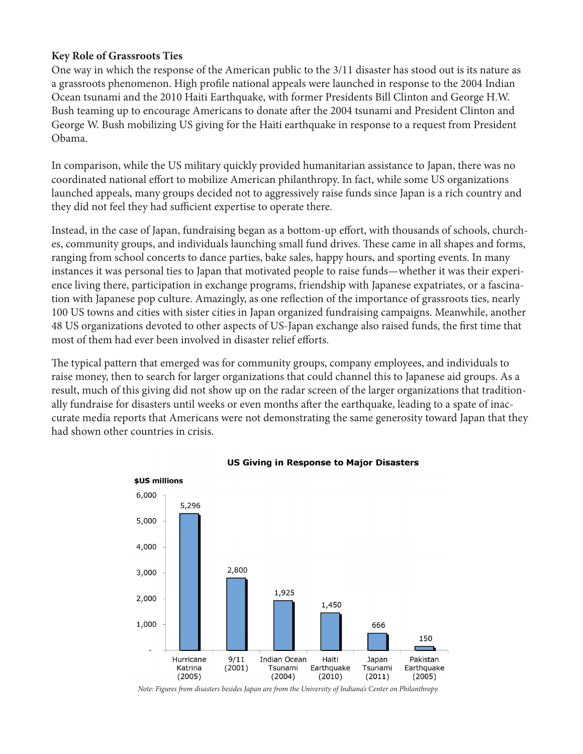## **Key Role of Grassroots Ties**

One way in which the response of the American public to the 3/11 disaster has stood out is its nature as a grassroots phenomenon. High profile national appeals were launched in response to the 2004 Indian Ocean tsunami and the 2010 Haiti Earthquake, with former Presidents Bill Clinton and George H.W. Bush teaming up to encourage Americans to donate after the 2004 tsunami and President Clinton and George W. Bush mobilizing US giving for the Haiti earthquake in response to a request from President Obama.

In comparison, while the US military quickly provided humanitarian assistance to Japan, there was no coordinated national effort to mobilize American philanthropy. In fact, while some US organizations launched appeals, many groups decided not to aggressively raise funds since Japan is a rich country and they did not feel they had sufficient expertise to operate there.

Instead, in the case of Japan, fundraising began as a bottom-up effort, with thousands of schools, churches, community groups, and individuals launching small fund drives. These came in all shapes and forms, ranging from school concerts to dance parties, bake sales, happy hours, and sporting events. In many instances it was personal ties to Japan that motivated people to raise funds—whether it was their experience living there, participation in exchange programs, friendship with Japanese expatriates, or a fascination with Japanese pop culture. Amazingly, as one reflection of the importance of grassroots ties, nearly 100 US towns and cities with sister cities in Japan organized fundraising campaigns. Meanwhile, another 48 US organizations devoted to other aspects of US-Japan exchange also raised funds, the first time that most of them had ever been involved in disaster relief efforts.

The typical pattern that emerged was for community groups, company employees, and individuals to raise money, then to search for larger organizations that could channel this to Japanese aid groups. As a result, much of this giving did not show up on the radar screen of the larger organizations that traditionally fundraise for disasters until weeks or even months after the earthquake, leading to a spate of inaccurate media reports that Americans were not demonstrating the same generosity toward Japan that they had shown other countries in crisis.



### **US Giving in Response to Major Disasters**

Note: Figures from disasters besides Japan are from the University of Indiana's Center on Philanthropy.